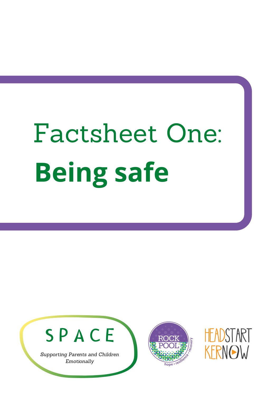## Factsheet One: **Being safe**





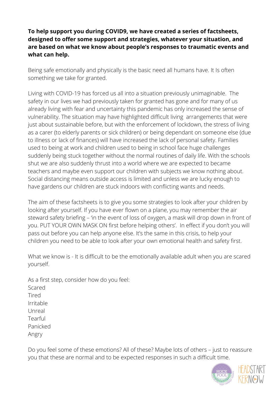## **To help support you during COVID9, we have created a series of factsheets, designed to offer some support and strategies, whatever your situation, and are based on what we know about people's responses to traumatic events and what can help.**

Being safe emotionally and physically is the basic need all humans have. It Is often something we take for granted.

Living with COVID-19 has forced us all into a situation previously unimaginable. The safety in our lives we had previously taken for granted has gone and for many of us already living with fear and uncertainty this pandemic has only increased the sense of vulnerability. The situation may have highlighted difficult living arrangements that were just about sustainable before, but with the enforcement of lockdown, the stress of living as a carer (to elderly parents or sick children) or being dependant on someone else (due to illness or lack of finances) will have increased the lack of personal safety. Families used to being at work and children used to being in school face huge challenges suddenly being stuck together without the normal routines of daily life. With the schools shut we are also suddenly thrust into a world where we are expected to became teachers and maybe even support our children with subjects we know nothing about. Social distancing means outside access is limited and unless we are lucky enough to have gardens our children are stuck indoors with conflicting wants and needs.

The aim of these factsheets is to give you some strategies to look after your children by looking after yourself. If you have ever flown on a plane, you may remember the air steward safety briefing – 'in the event of loss of oxygen, a mask will drop down in front of you. PUT YOUR OWN MASK ON first before helping others'. In effect if you don't you will pass out before you can help anyone else. It's the same in this crisis, to help your children you need to be able to look after your own emotional health and safety first.

What we know is - It is difficult to be the emotionally available adult when you are scared yourself.

As a first step, consider how do you feel: Scared Tired Irritable Unreal Tearful Panicked Angry

Do you feel some of these emotions? All of these? Maybe lots of others – just to reassure you that these are normal and to be expected responses in such a difficult time.

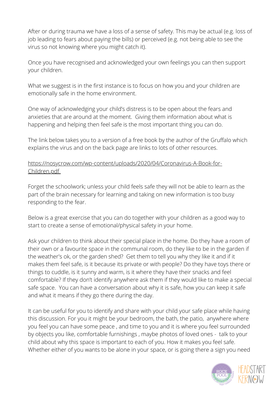After or during trauma we have a loss of a sense of safety. This may be actual (e.g. loss of job leading to fears about paying the bills) or perceived (e.g. not being able to see the virus so not knowing where you might catch it).

Once you have recognised and acknowledged your own feelings you can then support your children.

What we suggest is in the first instance is to focus on how you and your children are emotionally safe in the home environment.

One way of acknowledging your child's distress is to be open about the fears and anxieties that are around at the moment. Giving them information about what is happening and helping then feel safe is the most important thing you can do.

The link below takes you to a version of a free book by the author of the Gruffalo which explains the virus and on the back page are links to lots of other resources.

## [https://nosycrow.com/wp-content/uploads/2020/04/Coronavirus-A-Book-for-](https://nosycrow.com/wp-content/uploads/2020/04/Coronavirus-A-Book-for-Children.pdf)Children.pdf

Forget the schoolwork; unless your child feels safe they will not be able to learn as the part of the brain necessary for learning and taking on new information is too busy responding to the fear.

Below is a great exercise that you can do together with your children as a good way to start to create a sense of emotional/physical safety in your home.

Ask your children to think about their special place in the home. Do they have a room of their own or a favourite space in the communal room, do they like to be in the garden if the weather's ok, or the garden shed? Get them to tell you why they like it and if it makes them feel safe, is it because its private or with people? Do they have toys there or things to cuddle, is it sunny and warm, is it where they have their snacks and feel comfortable? If they don't identify anywhere ask them if they would like to make a special safe space. You can have a conversation about why it is safe, how you can keep it safe and what it means if they go there during the day.

It can be useful for you to identify and share with your child your safe place while having this discussion. For you it might be your bedroom, the bath, the patio, anywhere where you feel you can have some peace , and time to you and it is where you feel surrounded by objects you like, comfortable furnishings , maybe photos of loved ones - talk to your child about why this space is important to each of you. How it makes you feel safe. Whether either of you wants to be alone in your space, or is going there a sign you need

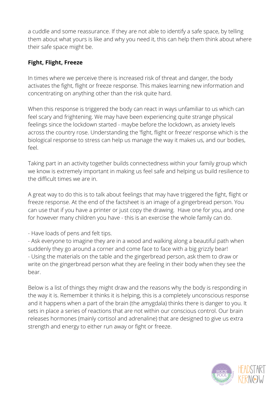a cuddle and some reassurance. If they are not able to identify a safe space, by telling them about what yours is like and why you need it, this can help them think about where their safe space might be.

## **Fight, Flight, Freeze**

In times where we perceive there is increased risk of threat and danger, the body activates the fight, flight or freeze response. This makes learning new information and concentrating on anything other than the risk quite hard.

When this response is triggered the body can react in ways unfamiliar to us which can feel scary and frightening. We may have been experiencing quite strange physical feelings since the lockdown started - maybe before the lockdown, as anxiety levels across the country rose. Understanding the 'fight, flight or freeze' response which is the biological response to stress can help us manage the way it makes us, and our bodies, feel.

Taking part in an activity together builds connectedness within your family group which we know is extremely important in making us feel safe and helping us build resilience to the difficult times we are in.

A great way to do this is to talk about feelings that may have triggered the fight, flight or freeze response. At the end of the factsheet is an image of a gingerbread person. You can use that if you have a printer or just copy the drawing. Have one for you, and one for however many children you have - this is an exercise the whole family can do.

- Have loads of pens and felt tips.

- Ask everyone to imagine they are in a wood and walking along a beautiful path when suddenly they go around a corner and come face to face with a big grizzly bear! - Using the materials on the table and the gingerbread person, ask them to draw or write on the gingerbread person what they are feeling in their body when they see the bear.

Below is a list of things they might draw and the reasons why the body is responding in the way it is. Remember it thinks it is helping, this is a completely unconscious response and it happens when a part of the brain (the amygdala) thinks there is danger to you. It sets in place a series of reactions that are not within our conscious control. Our brain releases hormones (mainly cortisol and adrenaline) that are designed to give us extra strength and energy to either run away or fight or freeze.

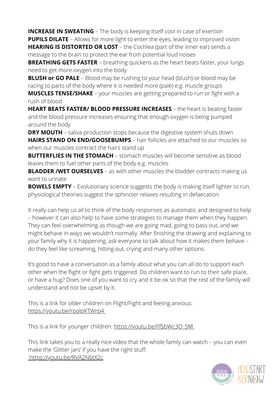**INCREASE IN SWEATING** – The body is keeping itself cool in case of exertion **PUPILS DILATE** – Allows for more light to enter the eyes, leading to improved vision

**HEARING IS DISTORTED OR LOST** – the Cochlea (part of the inner ear) sends a message to the brain to protect the ear from potential loud noises

**BREATHING GETS FASTER** – breathing quickens as the heart beats faster, your lungs need to get more oxygen into the body

**BLUSH or GO PALE** – Blood may be rushing to your head (blush) or blood may be racing to parts of the body where it is needed more (pale) e.g. muscle groups

**MUSCLES TENSE/SHAKE** – your muscles are getting prepared to run or fight with a rush of blood

**HEART BEATS FASTER/ BLOOD PRESSURE INCREASES** – the heart is beating faster and the blood pressure increases ensuring that enough oxygen is being pumped around the body

**DRY MOUTH** – saliva production stops because the digestive system shuts down **HAIRS STAND ON END/GOOSEBUMPS** – hair follicles are attached to our muscles so when our muscles contract the hairs stand up

**BUTTERFLIES IN THE STOMACH** – stomach muscles will become sensitive as blood leaves them to fuel other parts of the body e.g. muscles

**BLADDER /WET OURSELVES** – as with other muscles the bladder contracts making us want to urinate

**BOWELS EMPTY** – Evolutionary science suggests the body is making itself lighter to run, physiological theories suggest the sphincter relaxes resulting in defaecation

It really can help us all to think of the body responses as automatic and designed to help – however it can also help to have some strategies to manage them when they happen. They can feel overwhelming as though we are going mad, going to pass out, and we might behave in ways we wouldn't normally. After finishing the drawing and explaining to your family why it is happening, ask everyone to talk about how it makes them behave – do they feel like screaming, hitting out, crying and many other options.

It's good to have a conversation as a family about what you can all do to support each other when the flight or fight gets triggered. Do children want to run to their safe place, or have a hug? Does one of you want to cry and it be ok so that the rest of the family will understand and not be upset by it.

This is a link for older children on Flight/Fight and feeling anxious: <https://youtu.be/rpolpKTWrp4>

This is a link for younger children: https://youtu.be/FfSbWc3O\_5M

This link takes you to a really nice video that the whole family can watch – you can even make the 'Glitter jars' if you have the right stuff: <https://youtu.be/RVA2N6tX2c>

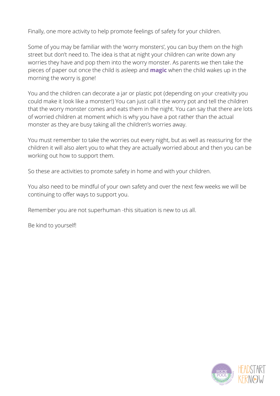Finally, one more activity to help promote feelings of safety for your children.

Some of you may be familiar with the 'worry monsters', you can buy them on the high street but don't need to. The idea is that at night your children can write down any worries they have and pop them into the worry monster. As parents we then take the pieces of paper out once the child is asleep and **magic** when the child wakes up in the morning the worry is gone!

You and the children can decorate a jar or plastic pot (depending on your creativity you could make it look like a monster!) You can just call it the worry pot and tell the children that the worry monster comes and eats them in the night. You can say that there are lots of worried children at moment which is why you have a pot rather than the actual monster as they are busy taking all the children's worries away.

You must remember to take the worries out every night, but as well as reassuring for the children it will also alert you to what they are actually worried about and then you can be working out how to support them.

So these are activities to promote safety in home and with your children.

You also need to be mindful of your own safety and over the next few weeks we will be continuing to offer ways to support you.

Remember you are not superhuman -this situation is new to us all.

Be kind to yourself!